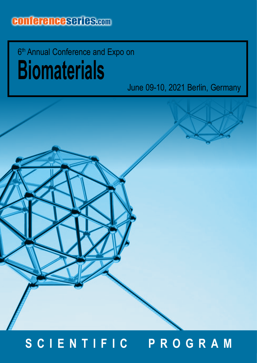## conferenceseries.com

# **Biomaterials** 6<sup>th</sup> Annual Conference and Expo on

## June 09-10, 2021 Berlin, Germany



## **SCIENTIFIC PROGRAM**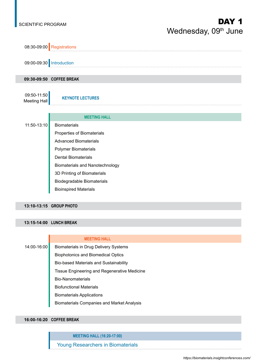### SCIENTIFIC PROGRAM **DAY 1** Wednesday, 09<sup>th</sup> June



### **13:10-13:15 GROUP PHOTO**

#### **13:15-14:00 LUNCH BREAK**

#### **MEETING HALL**

14:00-16:00 Biomaterials in Drug Delivery Systems

- Biophotonics and Biomedical Optics
- Bio-based Materials and Sustainability
- Tissue Engineering and Regenerative Medicine
- Bio-Nanomaterials
- Biofunctional Materials
- Biomaterials Applications
- Biomaterials Companies and Market Analysis

#### **16:00-16:20 COFFEE BREAK**

**MEETING HALL (16:20-17:00)**

Young Researchers in Biomaterials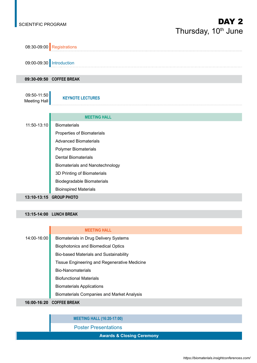## SCIENTIFIC PROGRAM **DAY 2** Thursday, 10<sup>th</sup> June



#### **13:15-14:00 LUNCH BREAK**

### **MEETING HALL** 14:00-16:00 Biomaterials in Drug Delivery Systems Biophotonics and Biomedical Optics Bio-based Materials and Sustainability Tissue Engineering and Regenerative Medicine Bio-Nanomaterials Biofunctional Materials Biomaterials Applications Biomaterials Companies and Market Analysis **16:00-16:20 COFFEE BREAK**

**MEETING HALL (16:20-17:00)**

Poster Presentations

**Awards & Closing Ceremony**